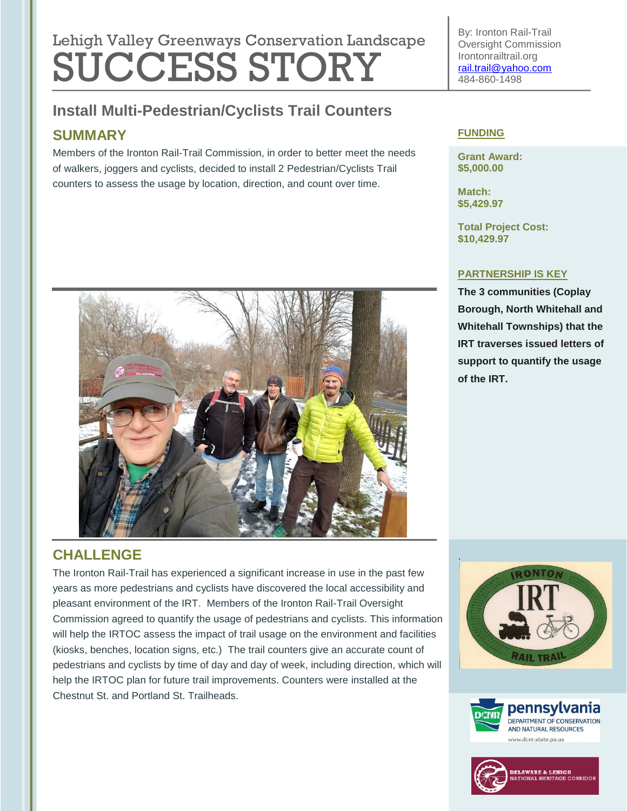# Lehigh Valley Greenways Conservation Landscape SUCCESS STORY

## **Install Multi-Pedestrian/Cyclists Trail Counters**

## **SUMMARY**

Members of the Ironton Rail-Trail Commission, in order to better meet the needs of walkers, joggers and cyclists, decided to install 2 Pedestrian/Cyclists Trail counters to assess the usage by location, direction, and count over time.



## **CHALLENGE**

The Ironton Rail-Trail has experienced a significant increase in use in the past few years as more pedestrians and cyclists have discovered the local accessibility and pleasant environment of the IRT. Members of the Ironton Rail-Trail Oversight Commission agreed to quantify the usage of pedestrians and cyclists. This information will help the IRTOC assess the impact of trail usage on the environment and facilities (kiosks, benches, location signs, etc.) The trail counters give an accurate count of pedestrians and cyclists by time of day and day of week, including direction, which will help the IRTOC plan for future trail improvements. Counters were installed at the Chestnut St. and Portland St. Trailheads.

By: Ironton Rail-Trail Oversight Commission Irontonrailtrail.org [rail.trail@yahoo.com](mailto:rail.trail@yahoo.com) 484-860-1498

#### **FUNDING**

**Grant Award: \$5,000.00**

**Match: \$5,429.97**

**Total Project Cost: \$10,429.97**

#### **PARTNERSHIP IS KEY**

**The 3 communities (Coplay Borough, North Whitehall and Whitehall Townships) that the IRT traverses issued letters of support to quantify the usage of the IRT.**